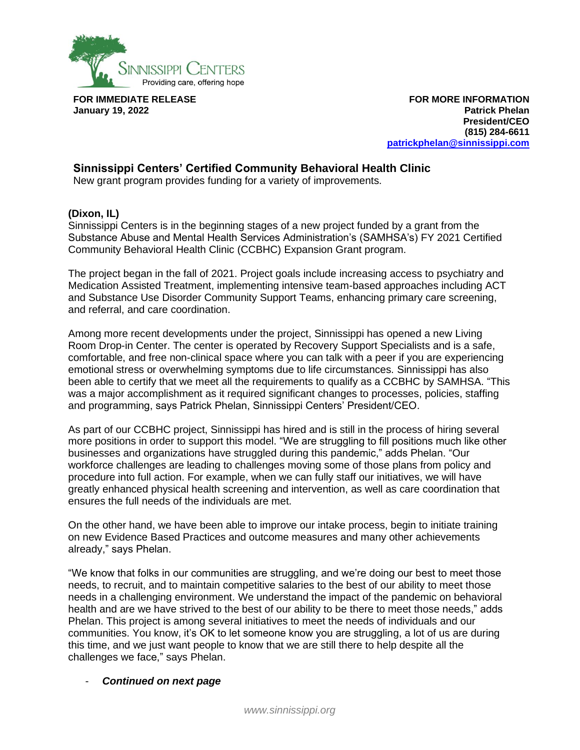

**FOR IMMEDIATE RELEASE January 19, 2022**

**FOR MORE INFORMATION Patrick Phelan President/CEO (815) 284-6611 [patrickphelan@sinnissippi.com](mailto:patrickphelan@sinnissippi.com)**

## **Sinnissippi Centers' Certified Community Behavioral Health Clinic**

New grant program provides funding for a variety of improvements.

## **(Dixon, IL)**

Sinnissippi Centers is in the beginning stages of a new project funded by a grant from the Substance Abuse and Mental Health Services Administration's (SAMHSA's) FY 2021 Certified Community Behavioral Health Clinic (CCBHC) Expansion Grant program.

The project began in the fall of 2021. Project goals include increasing access to psychiatry and Medication Assisted Treatment, implementing intensive team-based approaches including ACT and Substance Use Disorder Community Support Teams, enhancing primary care screening, and referral, and care coordination.

Among more recent developments under the project, Sinnissippi has opened a new Living Room Drop-in Center. The center is operated by Recovery Support Specialists and is a safe, comfortable, and free non-clinical space where you can talk with a peer if you are experiencing emotional stress or overwhelming symptoms due to life circumstances. Sinnissippi has also been able to certify that we meet all the requirements to qualify as a CCBHC by SAMHSA. "This was a major accomplishment as it required significant changes to processes, policies, staffing and programming, says Patrick Phelan, Sinnissippi Centers' President/CEO.

As part of our CCBHC project, Sinnissippi has hired and is still in the process of hiring several more positions in order to support this model. "We are struggling to fill positions much like other businesses and organizations have struggled during this pandemic," adds Phelan. "Our workforce challenges are leading to challenges moving some of those plans from policy and procedure into full action. For example, when we can fully staff our initiatives, we will have greatly enhanced physical health screening and intervention, as well as care coordination that ensures the full needs of the individuals are met.

On the other hand, we have been able to improve our intake process, begin to initiate training on new Evidence Based Practices and outcome measures and many other achievements already," says Phelan.

"We know that folks in our communities are struggling, and we're doing our best to meet those needs, to recruit, and to maintain competitive salaries to the best of our ability to meet those needs in a challenging environment. We understand the impact of the pandemic on behavioral health and are we have strived to the best of our ability to be there to meet those needs," adds Phelan. This project is among several initiatives to meet the needs of individuals and our communities. You know, it's OK to let someone know you are struggling, a lot of us are during this time, and we just want people to know that we are still there to help despite all the challenges we face," says Phelan.

## - *Continued on next page*